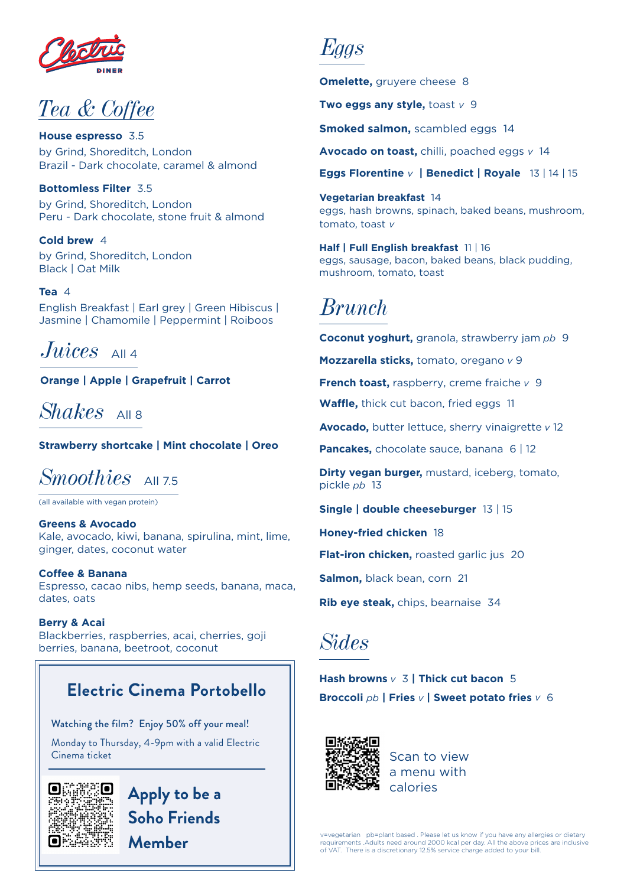

### *Tea & Coffee*

**House espresso** 3.5 by Grind, Shoreditch, London Brazil - Dark chocolate, caramel & almond

**Bottomless Filter** 3.5 by Grind, Shoreditch, London Peru - Dark chocolate, stone fruit & almond

**Cold brew** 4 by Grind, Shoreditch, London Black | Oat Milk

**Tea** 4 English Breakfast | Earl grey | Green Hibiscus | Jasmine | Chamomile | Peppermint | Roiboos

*Juices* All 4

**Orange | Apple | Grapefruit | Carrot**

 $Shakes$   $AlIB$ 

**Strawberry shortcake | Mint chocolate | Oreo**

*Smoothies*  $\Delta$ 1175

(all available with vegan protein)

**Greens & Avocado** Kale, avocado, kiwi, banana, spirulina, mint, lime, ginger, dates, coconut water

**Coffee & Banana** Espresso, cacao nibs, hemp seeds, banana, maca, dates, oats

**Berry & Acai** Blackberries, raspberries, acai, cherries, goji berries, banana, beetroot, coconut

### **Electric Cinema Portobello**

Watching the film? Enjoy 50% off your meal!

Monday to Thursday, 4-9pm with a valid Electric Cinema ticket



**Apply to be a Soho Friends Member**

*Eggs*

**Omelette, gruyere cheese 8** 

**Two eggs any style,** toast *v* 9

**Smoked salmon,** scambled eggs 14

**Avocado on toast,** chilli, poached eggs *v* 14

**Eggs Florentine** *v* **| Benedict | Royale** 13 | 14 | 15

**Vegetarian breakfast** 14 eggs, hash browns, spinach, baked beans, mushroom, tomato, toast *v*

**Half | Full English breakfast** 11 | 16 eggs, sausage, bacon, baked beans, black pudding, mushroom, tomato, toast

### *Brunch*

**Coconut yoghurt,** granola, strawberry jam *pb* 9

**Mozzarella sticks,** tomato, oregano *v* 9

**French toast,** raspberry, creme fraiche *v* 9

**Waffle,** thick cut bacon, fried eggs 11

**Avocado,** butter lettuce, sherry vinaigrette *v* 12

**Pancakes, chocolate sauce, banana 6 | 12** 

**Dirty vegan burger,** mustard, iceberg, tomato, pickle *pb* 13

**Single | double cheeseburger** 13 | 15

**Honey-fried chicken** 18

**Flat-iron chicken,** roasted garlic jus 20

**Salmon,** black bean, corn 21

**Rib eye steak,** chips, bearnaise 34

*Sides* 

**Hash browns** *v* 3 **| Thick cut bacon** 5 **Broccoli** *pb* **| Fries** *v* **| Sweet potato fries** *v* 6



Scan to view a menu with calories

v=vegetarian pb=plant based . Please let us know if you have any allergies or dietary requirements .Adults need around 2000 kcal per day. All the above prices are inclusive of VAT. There is a discretionary 12.5% service charge added to your bill.